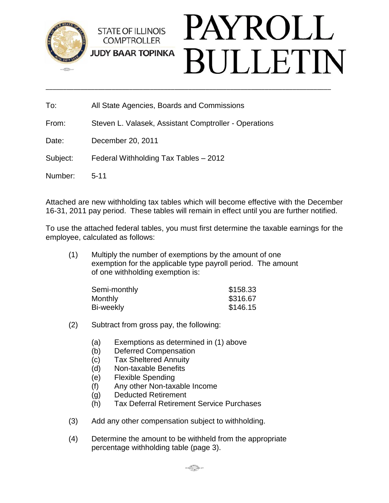

To: All State Agencies, Boards and Commissions

From: Steven L. Valasek, Assistant Comptroller - Operations

Date: December 20, 2011

Subject: Federal Withholding Tax Tables – 2012

Number: 5-11

Attached are new withholding tax tables which will become effective with the December 16-31, 2011 pay period. These tables will remain in effect until you are further notified.

To use the attached federal tables, you must first determine the taxable earnings for the employee, calculated as follows:

(1) Multiply the number of exemptions by the amount of one exemption for the applicable type payroll period. The amount of one withholding exemption is:

| Semi-monthly | \$158.33 |
|--------------|----------|
| Monthly      | \$316.67 |
| Bi-weekly    | \$146.15 |

## (2) Subtract from gross pay, the following:

- (a) Exemptions as determined in (1) above
- (b) Deferred Compensation
- (c) Tax Sheltered Annuity
- (d) Non-taxable Benefits
- (e) Flexible Spending
- (f) Any other Non-taxable Income
- (g) Deducted Retirement
- (h) Tax Deferral Retirement Service Purchases
- (3) Add any other compensation subject to withholding.
- (4) Determine the amount to be withheld from the appropriate percentage withholding table (page 3).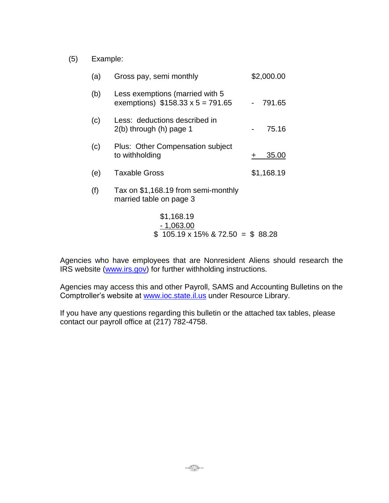(5) Example:

| (a) | Gross pay, semi monthly                                                    | \$2,000.00 |
|-----|----------------------------------------------------------------------------|------------|
| (b) | Less exemptions (married with 5<br>exemptions) $$158.33 \times 5 = 791.65$ | 791.65     |
| (c) | Less: deductions described in<br>$2(b)$ through $(h)$ page 1               | 75.16      |
| (c) | Plus: Other Compensation subject<br>to withholding                         | 35.00<br>+ |
| (e) | Taxable Gross                                                              | \$1,168.19 |
| (f) | Tax on \$1,168.19 from semi-monthly<br>married table on page 3             |            |
|     | \$1,168.19<br>$-1,063.00$<br>$$105.19 \times 15\% \& 72.50 = $88.28$       |            |

Agencies who have employees that are Nonresident Aliens should research the IRS website [\(www.irs.gov\)](http://www.irs.gov/) for further withholding instructions.

Agencies may access this and other Payroll, SAMS and Accounting Bulletins on the Comptroller's website at [www.ioc.state.il.us](http://www.ioc.state.il.us/) under Resource Library.

If you have any questions regarding this bulletin or the attached tax tables, please contact our payroll office at (217) 782-4758.